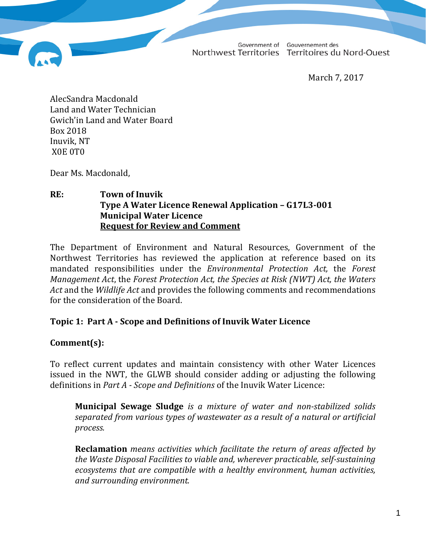Government of Gouvernement des Northwest Territories Territoires du Nord-Ouest

March 7, 2017

AlecSandra Macdonald Land and Water Technician Gwich'in Land and Water Board Box 2018 Inuvik, NT X0E 0T0

Dear Ms. Macdonald,

### **RE: Town of Inuvik Type A Water Licence Renewal Application – G17L3-001 Municipal Water Licence Request for Review and Comment**

The Department of Environment and Natural Resources, Government of the Northwest Territories has reviewed the application at reference based on its mandated responsibilities under the *Environmental Protection Act,* the *Forest Management Act*, the *Forest Protection Act, the Species at Risk (NWT) Act, the Waters Act* and the *Wildlife Act* and provides the following comments and recommendations for the consideration of the Board.

# **Topic 1: Part A - Scope and Definitions of Inuvik Water Licence**

# **Comment(s):**

To reflect current updates and maintain consistency with other Water Licences issued in the NWT, the GLWB should consider adding or adjusting the following definitions in *Part A - Scope and Definitions* of the Inuvik Water Licence:

**Municipal Sewage Sludge** *is a mixture of water and non-stabilized solids separated from various types of wastewater as a result of a natural or artificial process.*

**Reclamation** *means activities which facilitate the return of areas affected by the Waste Disposal Facilities to viable and, wherever practicable, self-sustaining ecosystems that are compatible with a healthy environment, human activities, and surrounding environment.*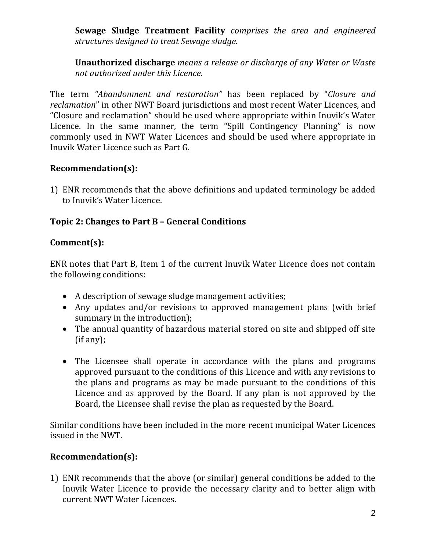**Sewage Sludge Treatment Facility** *comprises the area and engineered structures designed to treat Sewage sludge.*

**Unauthorized discharge** *means a release or discharge of any Water or Waste not authorized under this Licence.*

The term *"Abandonment and restoration"* has been replaced by "*Closure and reclamation*" in other NWT Board jurisdictions and most recent Water Licences, and "Closure and reclamation" should be used where appropriate within Inuvik's Water Licence. In the same manner, the term "Spill Contingency Planning" is now commonly used in NWT Water Licences and should be used where appropriate in Inuvik Water Licence such as Part G.

# **Recommendation(s):**

1) ENR recommends that the above definitions and updated terminology be added to Inuvik's Water Licence.

# **Topic 2: Changes to Part B – General Conditions**

## **Comment(s):**

ENR notes that Part B, Item 1 of the current Inuvik Water Licence does not contain the following conditions:

- A description of sewage sludge management activities;
- Any updates and/or revisions to approved management plans (with brief summary in the introduction);
- The annual quantity of hazardous material stored on site and shipped off site (if any);
- The Licensee shall operate in accordance with the plans and programs approved pursuant to the conditions of this Licence and with any revisions to the plans and programs as may be made pursuant to the conditions of this Licence and as approved by the Board. If any plan is not approved by the Board, the Licensee shall revise the plan as requested by the Board.

Similar conditions have been included in the more recent municipal Water Licences issued in the NWT.

## **Recommendation(s):**

1) ENR recommends that the above (or similar) general conditions be added to the Inuvik Water Licence to provide the necessary clarity and to better align with current NWT Water Licences.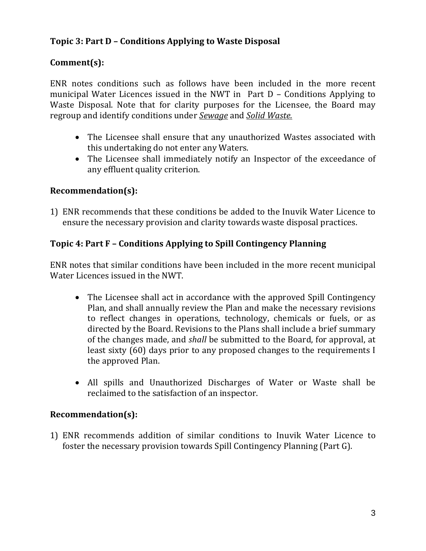# **Topic 3: Part D – Conditions Applying to Waste Disposal**

# **Comment(s):**

ENR notes conditions such as follows have been included in the more recent municipal Water Licences issued in the NWT in Part D – Conditions Applying to Waste Disposal. Note that for clarity purposes for the Licensee, the Board may regroup and identify conditions under *Sewage* and *Solid Waste.*

- The Licensee shall ensure that any unauthorized Wastes associated with this undertaking do not enter any Waters.
- The Licensee shall immediately notify an Inspector of the exceedance of any effluent quality criterion.

### **Recommendation(s):**

1) ENR recommends that these conditions be added to the Inuvik Water Licence to ensure the necessary provision and clarity towards waste disposal practices.

## **Topic 4: Part F – Conditions Applying to Spill Contingency Planning**

ENR notes that similar conditions have been included in the more recent municipal Water Licences issued in the NWT.

- The Licensee shall act in accordance with the approved Spill Contingency Plan, and shall annually review the Plan and make the necessary revisions to reflect changes in operations, technology, chemicals or fuels, or as directed by the Board. Revisions to the Plans shall include a brief summary of the changes made, and *shall* be submitted to the Board, for approval, at least sixty (60) days prior to any proposed changes to the requirements I the approved Plan.
- All spills and Unauthorized Discharges of Water or Waste shall be reclaimed to the satisfaction of an inspector.

#### **Recommendation(s):**

1) ENR recommends addition of similar conditions to Inuvik Water Licence to foster the necessary provision towards Spill Contingency Planning (Part G).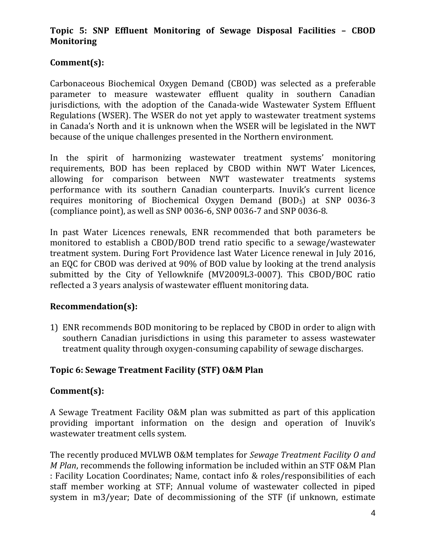# **Topic 5: SNP Effluent Monitoring of Sewage Disposal Facilities – CBOD Monitoring**

# **Comment(s):**

Carbonaceous Biochemical Oxygen Demand (CBOD) was selected as a preferable parameter to measure wastewater effluent quality in southern Canadian jurisdictions, with the adoption of the Canada-wide Wastewater System Effluent Regulations (WSER). The WSER do not yet apply to wastewater treatment systems in Canada's North and it is unknown when the WSER will be legislated in the NWT because of the unique challenges presented in the Northern environment.

In the spirit of harmonizing wastewater treatment systems' monitoring requirements, BOD has been replaced by CBOD within NWT Water Licences, allowing for comparison between NWT wastewater treatments systems performance with its southern Canadian counterparts. Inuvik's current licence requires monitoring of Biochemical Oxygen Demand (BOD<sub>5</sub>) at SNP 0036-3 (compliance point), as well as SNP 0036-6, SNP 0036-7 and SNP 0036-8.

In past Water Licences renewals, ENR recommended that both parameters be monitored to establish a CBOD/BOD trend ratio specific to a sewage/wastewater treatment system. During Fort Providence last Water Licence renewal in July 2016, an EQC for CBOD was derived at 90% of BOD value by looking at the trend analysis submitted by the City of Yellowknife (MV2009L3-0007). This CBOD/BOC ratio reflected a 3 years analysis of wastewater effluent monitoring data.

## **Recommendation(s):**

1) ENR recommends BOD monitoring to be replaced by CBOD in order to align with southern Canadian jurisdictions in using this parameter to assess wastewater treatment quality through oxygen-consuming capability of sewage discharges.

# **Topic 6: Sewage Treatment Facility (STF) O&M Plan**

## **Comment(s):**

A Sewage Treatment Facility O&M plan was submitted as part of this application providing important information on the design and operation of Inuvik's wastewater treatment cells system.

The recently produced MVLWB O&M templates for *Sewage Treatment Facility O and M Plan*, recommends the following information be included within an STF O&M Plan : Facility Location Coordinates; Name, contact info & roles/responsibilities of each staff member working at STF; Annual volume of wastewater collected in piped system in m3/year; Date of decommissioning of the STF (if unknown, estimate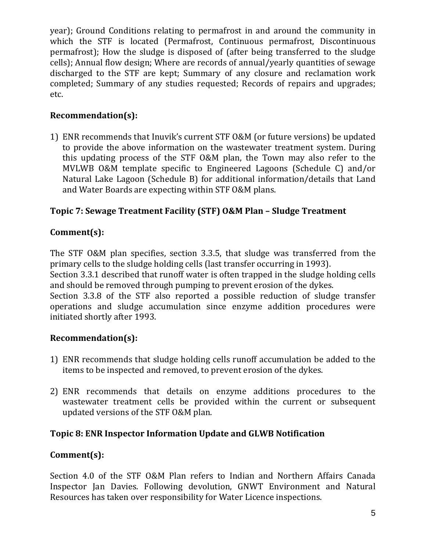year); Ground Conditions relating to permafrost in and around the community in which the STF is located (Permafrost, Continuous permafrost, Discontinuous permafrost); How the sludge is disposed of (after being transferred to the sludge cells); Annual flow design; Where are records of annual/yearly quantities of sewage discharged to the STF are kept; Summary of any closure and reclamation work completed; Summary of any studies requested; Records of repairs and upgrades; etc.

# **Recommendation(s):**

1) ENR recommends that Inuvik's current STF O&M (or future versions) be updated to provide the above information on the wastewater treatment system. During this updating process of the STF O&M plan, the Town may also refer to the MVLWB O&M template specific to Engineered Lagoons (Schedule C) and/or Natural Lake Lagoon (Schedule B) for additional information/details that Land and Water Boards are expecting within STF O&M plans.

# **Topic 7: Sewage Treatment Facility (STF) O&M Plan – Sludge Treatment**

## **Comment(s):**

The STF O&M plan specifies, section 3.3.5, that sludge was transferred from the primary cells to the sludge holding cells (last transfer occurring in 1993).

Section 3.3.1 described that runoff water is often trapped in the sludge holding cells and should be removed through pumping to prevent erosion of the dykes.

Section 3.3.8 of the STF also reported a possible reduction of sludge transfer operations and sludge accumulation since enzyme addition procedures were initiated shortly after 1993.

## **Recommendation(s):**

- 1) ENR recommends that sludge holding cells runoff accumulation be added to the items to be inspected and removed, to prevent erosion of the dykes.
- 2) ENR recommends that details on enzyme additions procedures to the wastewater treatment cells be provided within the current or subsequent updated versions of the STF O&M plan.

## **Topic 8: ENR Inspector Information Update and GLWB Notification**

## **Comment(s):**

Section 4.0 of the STF O&M Plan refers to Indian and Northern Affairs Canada Inspector Jan Davies. Following devolution, GNWT Environment and Natural Resources has taken over responsibility for Water Licence inspections.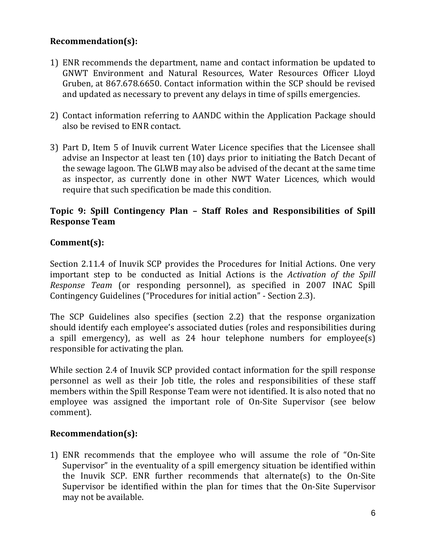# **Recommendation(s):**

- 1) ENR recommends the department, name and contact information be updated to GNWT Environment and Natural Resources, Water Resources Officer Lloyd Gruben, at 867.678.6650. Contact information within the SCP should be revised and updated as necessary to prevent any delays in time of spills emergencies.
- 2) Contact information referring to AANDC within the Application Package should also be revised to ENR contact.
- 3) Part D, Item 5 of Inuvik current Water Licence specifies that the Licensee shall advise an Inspector at least ten (10) days prior to initiating the Batch Decant of the sewage lagoon. The GLWB may also be advised of the decant at the same time as inspector, as currently done in other NWT Water Licences, which would require that such specification be made this condition.

## **Topic 9: Spill Contingency Plan – Staff Roles and Responsibilities of Spill Response Team**

## **Comment(s):**

Section 2.11.4 of Inuvik SCP provides the Procedures for Initial Actions. One very important step to be conducted as Initial Actions is the *Activation of the Spill Response Team* (or responding personnel), as specified in 2007 INAC Spill Contingency Guidelines ("Procedures for initial action" - Section 2.3).

The SCP Guidelines also specifies (section 2.2) that the response organization should identify each employee's associated duties (roles and responsibilities during a spill emergency), as well as 24 hour telephone numbers for employee(s) responsible for activating the plan.

While section 2.4 of Inuvik SCP provided contact information for the spill response personnel as well as their Job title, the roles and responsibilities of these staff members within the Spill Response Team were not identified. It is also noted that no employee was assigned the important role of On-Site Supervisor (see below comment).

## **Recommendation(s):**

1) ENR recommends that the employee who will assume the role of "On-Site Supervisor" in the eventuality of a spill emergency situation be identified within the Inuvik SCP. ENR further recommends that alternate(s) to the On-Site Supervisor be identified within the plan for times that the On-Site Supervisor may not be available.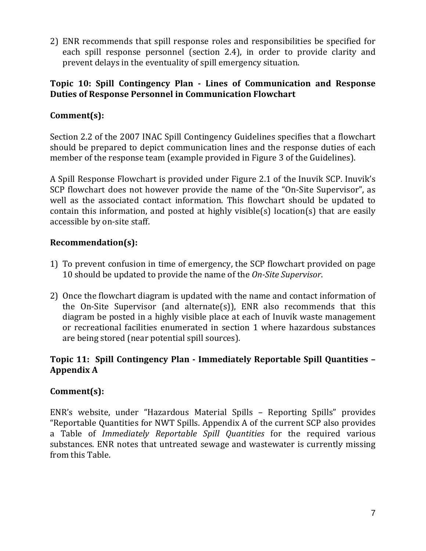2) ENR recommends that spill response roles and responsibilities be specified for each spill response personnel (section 2.4), in order to provide clarity and prevent delays in the eventuality of spill emergency situation.

## **Topic 10: Spill Contingency Plan - Lines of Communication and Response Duties of Response Personnel in Communication Flowchart**

# **Comment(s):**

Section 2.2 of the 2007 INAC Spill Contingency Guidelines specifies that a flowchart should be prepared to depict communication lines and the response duties of each member of the response team (example provided in Figure 3 of the Guidelines).

A Spill Response Flowchart is provided under Figure 2.1 of the Inuvik SCP. Inuvik's SCP flowchart does not however provide the name of the "On-Site Supervisor", as well as the associated contact information. This flowchart should be updated to contain this information, and posted at highly visible(s) location(s) that are easily accessible by on-site staff.

## **Recommendation(s):**

- 1) To prevent confusion in time of emergency, the SCP flowchart provided on page 10 should be updated to provide the name of the *On-Site Supervisor*.
- 2) Once the flowchart diagram is updated with the name and contact information of the On-Site Supervisor (and alternate(s)), ENR also recommends that this diagram be posted in a highly visible place at each of Inuvik waste management or recreational facilities enumerated in section 1 where hazardous substances are being stored (near potential spill sources).

## **Topic 11: Spill Contingency Plan - Immediately Reportable Spill Quantities – Appendix A**

## **Comment(s):**

ENR's website, under "Hazardous Material Spills – Reporting Spills" provides "Reportable Quantities for NWT Spills. Appendix A of the current SCP also provides a Table of *Immediately Reportable Spill Quantities* for the required various substances. ENR notes that untreated sewage and wastewater is currently missing from this Table.